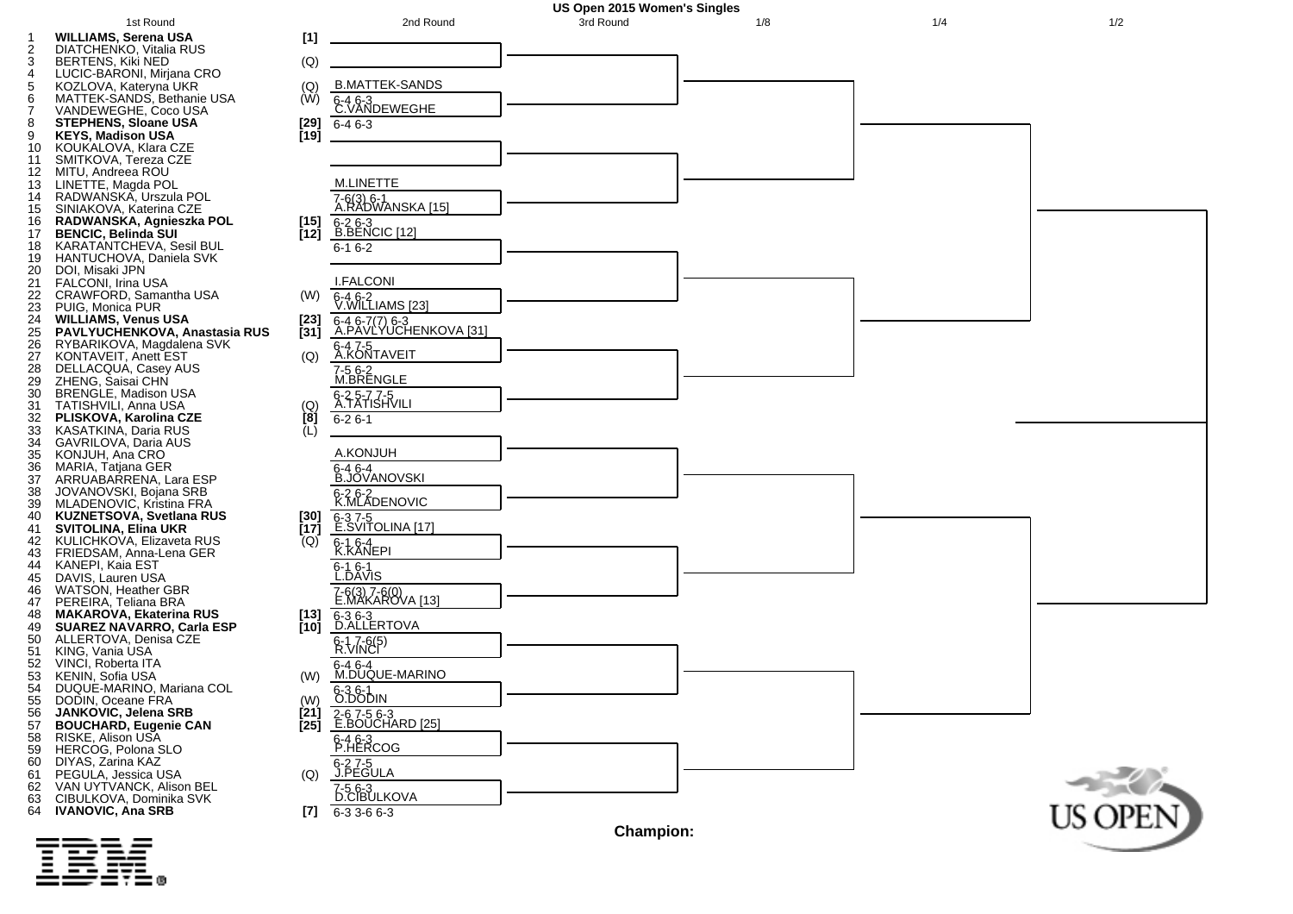

|        | - ----- |  |  |  |
|--------|---------|--|--|--|
|        | - - --  |  |  |  |
|        | - - --  |  |  |  |
|        | - ----- |  |  |  |
| ______ |         |  |  |  |
| _____  |         |  |  |  |